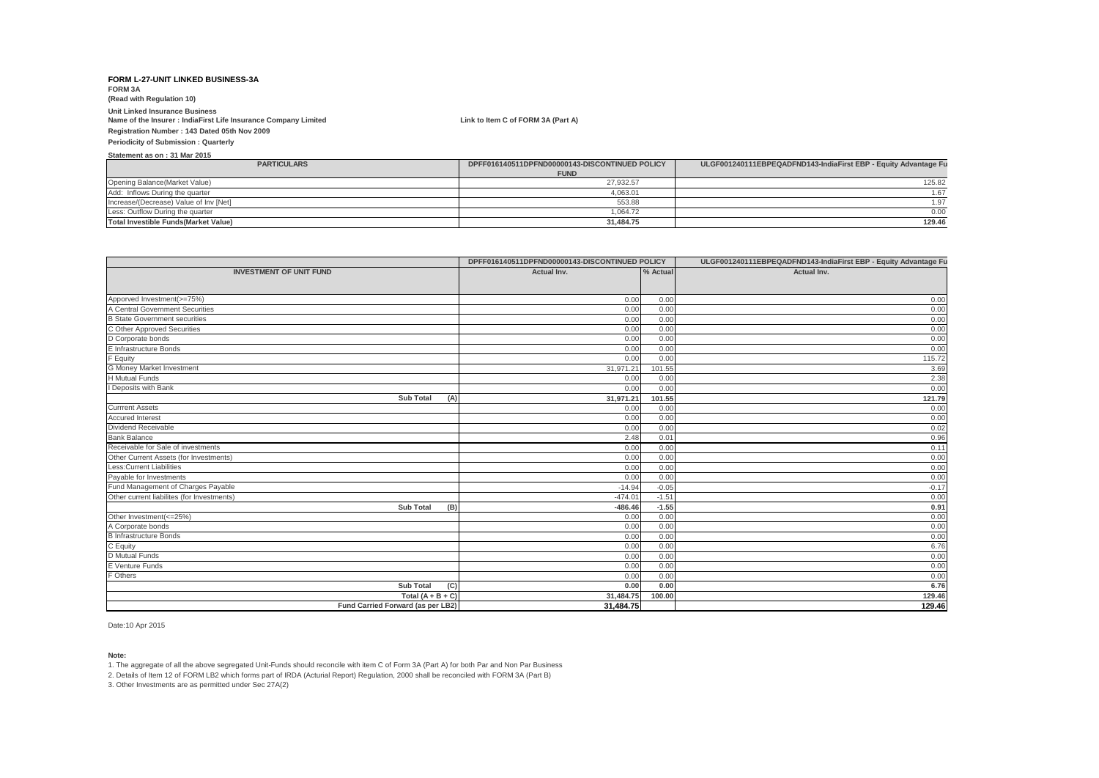**FORM 3A (Read with Regulation 10)**

# **Unit Linked Insurance Business**

**Name of the Insurer : IndiaFirst Life Insurance Company Limited Link to Item C of FORM 3A (Part A)**

**Registration Number : 143 Dated 05th Nov 2009**

**Periodicity of Submission : Quarterly**

**Statement as on : 31 Mar 2015**

| <b>PARTICULARS</b>                          | DPFF016140511DPFND00000143-DISCONTINUED POLICY | ULGF001240111EBPEQADFND143-IndiaFirst EBP - Equity Advantage Fu |
|---------------------------------------------|------------------------------------------------|-----------------------------------------------------------------|
|                                             | <b>FUND</b>                                    |                                                                 |
| Opening Balance(Market Value)               | 27.932.57                                      | 125.82                                                          |
| Add: Inflows During the quarter             | 4,063.01                                       | .67                                                             |
| Increase/(Decrease) Value of Inv [Net]      | 553.88                                         |                                                                 |
| Less: Outflow During the quarter            | 1.064.72                                       | 0.00                                                            |
| <b>Total Investible Funds(Market Value)</b> | 31.484.75                                      | 129.46                                                          |

|                                            | DPFF016140511DPFND00000143-DISCONTINUED POLICY |          | ULGF001240111EBPEQADFND143-IndiaFirst EBP - Equity Advantage Fu |  |
|--------------------------------------------|------------------------------------------------|----------|-----------------------------------------------------------------|--|
| <b>INVESTMENT OF UNIT FUND</b>             | Actual Inv.                                    | % Actual | Actual Inv.                                                     |  |
|                                            |                                                |          |                                                                 |  |
| Apporved Investment(>=75%)                 | 0.00                                           | 0.00     |                                                                 |  |
| A Central Government Securities            |                                                | 0.00     | 0.00<br>0.00                                                    |  |
| <b>B</b> State Government securities       | 0.00<br>0.00                                   | 0.00     | 0.00                                                            |  |
| C Other Approved Securities                | 0.00                                           | 0.00     | 0.00                                                            |  |
| D Corporate bonds                          | 0.00                                           | 0.00     | 0.00                                                            |  |
| E Infrastructure Bonds                     | 0.00                                           | 0.00     | 0.00                                                            |  |
| F Equity                                   | 0.00                                           | 0.00     | 115.72                                                          |  |
| G Money Market Investment                  | 31,971.21                                      | 101.55   | 3.69                                                            |  |
| <b>H</b> Mutual Funds                      | 0.00                                           | 0.00     | 2.38                                                            |  |
| I Deposits with Bank                       | 0.00                                           | 0.00     | 0.00                                                            |  |
| <b>Sub Total</b><br>(A)                    | 31,971.21                                      | 101.55   | 121.79                                                          |  |
| <b>Currrent Assets</b>                     | 0.00                                           | 0.00     | 0.00                                                            |  |
| <b>Accured Interest</b>                    | 0.00                                           | 0.00     | 0.00                                                            |  |
| Dividend Receivable                        | 0.00                                           | 0.00     | 0.02                                                            |  |
| <b>Bank Balance</b>                        | 2.48                                           | 0.01     | 0.96                                                            |  |
| Receivable for Sale of investments         | 0.00                                           | 0.00     | 0.11                                                            |  |
| Other Current Assets (for Investments)     | 0.00                                           | 0.00     | 0.00                                                            |  |
| Less: Current Liabilities                  | 0.00                                           | 0.00     | 0.00                                                            |  |
| Payable for Investments                    | 0.00                                           | 0.00     | 0.00                                                            |  |
| Fund Management of Charges Payable         | $-14.94$                                       | $-0.05$  | $-0.17$                                                         |  |
| Other current liabilites (for Investments) | $-474.01$                                      | $-1.51$  | 0.00                                                            |  |
| (B)<br><b>Sub Total</b>                    | $-486.46$                                      | $-1.55$  | 0.91                                                            |  |
| Other Investment(<=25%)                    | 0.00                                           | 0.00     | 0.00                                                            |  |
| A Corporate bonds                          | 0.00                                           | 0.00     | 0.00                                                            |  |
| <b>B</b> Infrastructure Bonds              | 0.00                                           | 0.00     | 0.00                                                            |  |
| C Equity                                   | 0.00                                           | 0.00     | 6.76                                                            |  |
| D Mutual Funds                             | 0.00                                           | 0.00     | 0.00                                                            |  |
| E Venture Funds                            | 0.00                                           | 0.00     | 0.00                                                            |  |
| F Others                                   | 0.00                                           | 0.00     | 0.00                                                            |  |
| (C)<br><b>Sub Total</b>                    | 0.00                                           | 0.00     | 6.76                                                            |  |
| Total $(A + B + C)$                        | 31,484.75                                      | 100.00   | 129.46                                                          |  |
| Fund Carried Forward (as per LB2)          | 31,484.75                                      |          | 129.46                                                          |  |

Date:10 Apr 2015

**Note:**

1. The aggregate of all the above segregated Unit-Funds should reconcile with item C of Form 3A (Part A) for both Par and Non Par Business

2. Details of Item 12 of FORM LB2 which forms part of IRDA (Acturial Report) Regulation, 2000 shall be reconciled with FORM 3A (Part B)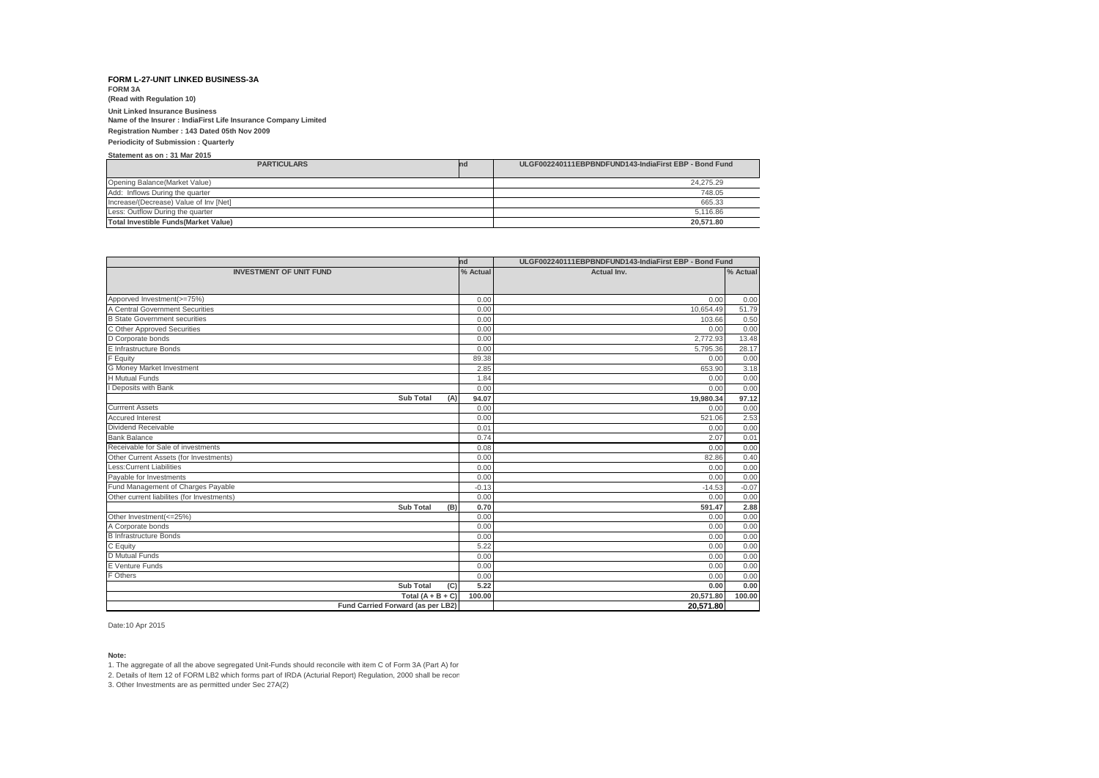**FORM 3A (Read with Regulation 10)**

## **Unit Linked Insurance Business**

**Name of the Insurer : IndiaFirst Life Insurance Company Limited**

**Registration Number : 143 Dated 05th Nov 2009**

#### **Periodicity of Submission : Quarterly**

**Statement as on : 31 Mar 2015**

| <b>PARTICULARS</b>                           | nd | ULGF002240111EBPBNDFUND143-IndiaFirst EBP - Bond Fund |
|----------------------------------------------|----|-------------------------------------------------------|
| Opening Balance(Market Value)                |    | 24.275.29                                             |
| Add: Inflows During the quarter              |    | 748.05                                                |
| Increase/(Decrease) Value of Inv [Net]       |    | 665.33                                                |
| Less: Outflow During the quarter             |    | 5.116.86                                              |
| <b>Total Investible Funds (Market Value)</b> |    | 20.571.80                                             |

| nd                                         |         | ULGF002240111EBPBNDFUND143-IndiaFirst EBP - Bond Fund |          |  |
|--------------------------------------------|---------|-------------------------------------------------------|----------|--|
| % Actual<br><b>INVESTMENT OF UNIT FUND</b> |         | Actual Inv.                                           | % Actual |  |
|                                            |         |                                                       |          |  |
| Apporved Investment(>=75%)                 | 0.00    | 0.00                                                  | 0.00     |  |
| A Central Government Securities            | 0.00    | 10,654.49                                             | 51.79    |  |
| <b>B</b> State Government securities       | 0.00    | 103.66                                                | 0.50     |  |
| C Other Approved Securities                | 0.00    | 0.00                                                  | 0.00     |  |
| D Corporate bonds                          | 0.00    | 2,772.93                                              | 13.48    |  |
| E Infrastructure Bonds                     | 0.00    | 5,795.36                                              | 28.17    |  |
| F Equity                                   | 89.38   | 0.00                                                  | 0.00     |  |
| G Money Market Investment                  | 2.85    | 653.90                                                | 3.18     |  |
| <b>H</b> Mutual Funds                      | 1.84    | 0.00                                                  | 0.00     |  |
| Deposits with Bank                         | 0.00    | 0.00                                                  | 0.00     |  |
| <b>Sub Total</b><br>(A)                    | 94.07   | 19,980.34                                             | 97.12    |  |
| <b>Currrent Assets</b>                     | 0.00    | 0.00                                                  | 0.00     |  |
| <b>Accured Interest</b>                    | 0.00    | 521.06                                                | 2.53     |  |
| Dividend Receivable                        | 0.01    | 0.00                                                  | 0.00     |  |
| <b>Bank Balance</b>                        | 0.74    | 2.07                                                  | 0.01     |  |
| Receivable for Sale of investments         | 0.08    | 0.00                                                  | 0.00     |  |
| Other Current Assets (for Investments)     | 0.00    | 82.86                                                 | 0.40     |  |
| <b>Less:Current Liabilities</b>            | 0.00    | 0.00                                                  | 0.00     |  |
| Payable for Investments                    | 0.00    | 0.00                                                  | 0.00     |  |
| Fund Management of Charges Payable         | $-0.13$ | $-14.53$                                              | $-0.07$  |  |
| Other current liabilites (for Investments) | 0.00    | 0.00                                                  | 0.00     |  |
| <b>Sub Total</b><br>(B)                    | 0.70    | 591.47                                                | 2.88     |  |
| Other Investment(<=25%)                    | 0.00    | 0.00                                                  | 0.00     |  |
| A Corporate bonds                          | 0.00    | 0.00                                                  | 0.00     |  |
| <b>B</b> Infrastructure Bonds              | 0.00    | 0.00                                                  | 0.00     |  |
| C Equity                                   | 5.22    | 0.00                                                  | 0.00     |  |
| D Mutual Funds                             | 0.00    | 0.00                                                  | 0.00     |  |
| <b>E</b> Venture Funds                     | 0.00    | 0.00                                                  | 0.00     |  |
| F Others                                   | 0.00    | 0.00                                                  | 0.00     |  |
| <b>Sub Total</b><br>(C)                    | 5.22    | 0.00                                                  | 0.00     |  |
| Total $(A + B + C)$                        | 100.00  | 20,571.80                                             | 100.00   |  |
| Fund Carried Forward (as per LB2)          |         | 20,571.80                                             |          |  |

Date:10 Apr 2015

**Note:**

1. The aggregate of all the above segregated Unit-Funds should reconcile with item C of Form 3A (Part A) for

2. Details of Item 12 of FORM LB2 which forms part of IRDA (Acturial Report) Regulation, 2000 shall be recon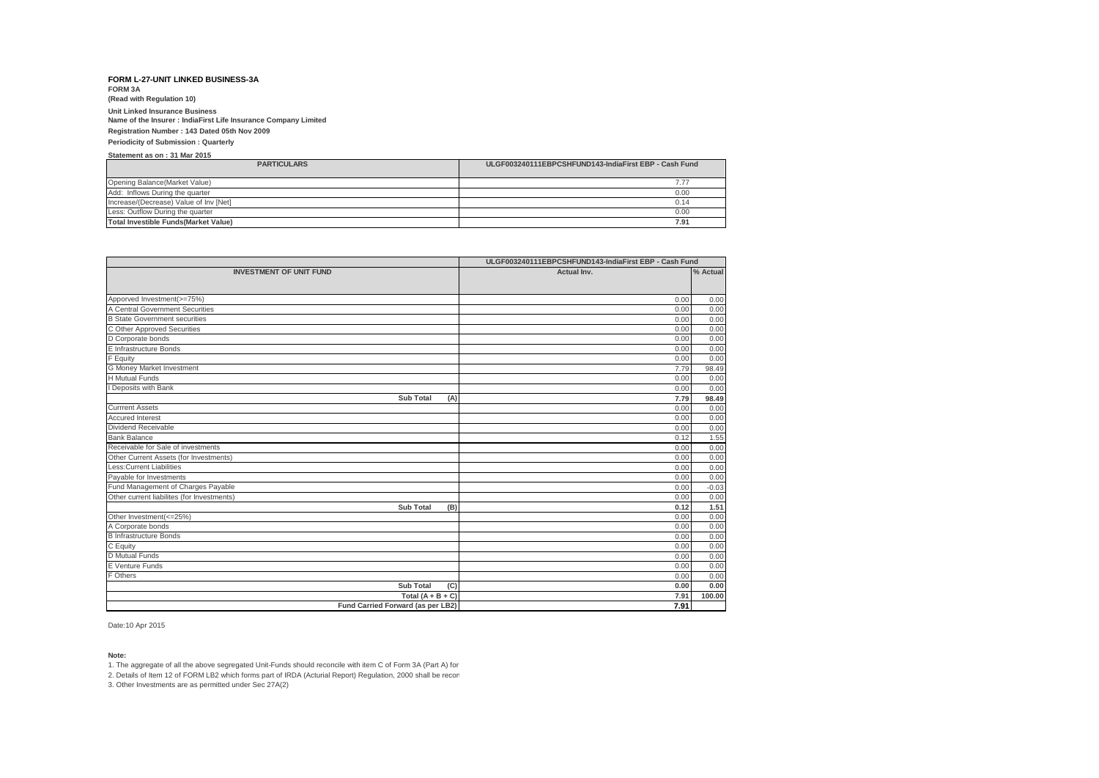**FORM 3A (Read with Regulation 10)**

## **Unit Linked Insurance Business**

**Name of the Insurer : IndiaFirst Life Insurance Company Limited**

**Registration Number : 143 Dated 05th Nov 2009**

### **Periodicity of Submission : Quarterly**

**Statement as on : 31 Mar 2015**

| <b>PARTICULARS</b>                           | ULGF003240111EBPCSHFUND143-IndiaFirst EBP - Cash Fund |
|----------------------------------------------|-------------------------------------------------------|
| Opening Balance (Market Value)               | 7.77                                                  |
| Add: Inflows During the quarter              | 0.00                                                  |
| Increase/(Decrease) Value of Inv [Net]       | 0.14                                                  |
| Less: Outflow During the quarter             | 0.00                                                  |
| <b>Total Investible Funds (Market Value)</b> | 7.91                                                  |

|                                                               | ULGF003240111EBPCSHFUND143-IndiaFirst EBP - Cash Fund |          |  |  |  |
|---------------------------------------------------------------|-------------------------------------------------------|----------|--|--|--|
| <b>INVESTMENT OF UNIT FUND</b>                                | Actual Inv.                                           | % Actual |  |  |  |
|                                                               |                                                       |          |  |  |  |
|                                                               |                                                       |          |  |  |  |
| Apporved Investment(>=75%)<br>A Central Government Securities | 0.00                                                  | 0.00     |  |  |  |
|                                                               | 0.00                                                  | 0.00     |  |  |  |
| <b>B State Government securities</b>                          | 0.00                                                  | 0.00     |  |  |  |
| C Other Approved Securities                                   | 0.00                                                  | 0.00     |  |  |  |
| D Corporate bonds                                             | 0.00                                                  | 0.00     |  |  |  |
| E Infrastructure Bonds                                        | 0.00                                                  | 0.00     |  |  |  |
| F Equity                                                      | 0.00                                                  | 0.00     |  |  |  |
| G Money Market Investment                                     | 7.79                                                  | 98.49    |  |  |  |
| H Mutual Funds                                                | 0.00                                                  | 0.00     |  |  |  |
| Deposits with Bank                                            | 0.00                                                  | 0.00     |  |  |  |
| <b>Sub Total</b><br>(A)                                       | 7.79                                                  | 98.49    |  |  |  |
| <b>Currrent Assets</b>                                        | 0.00                                                  | 0.00     |  |  |  |
| <b>Accured Interest</b>                                       | 0.00                                                  | 0.00     |  |  |  |
| Dividend Receivable                                           | 0.00                                                  | 0.00     |  |  |  |
| <b>Bank Balance</b>                                           | 0.12                                                  | 1.55     |  |  |  |
| Receivable for Sale of investments                            | 0.00                                                  | 0.00     |  |  |  |
| Other Current Assets (for Investments)                        | 0.00                                                  | 0.00     |  |  |  |
| Less: Current Liabilities                                     | 0.00                                                  | 0.00     |  |  |  |
| Pavable for Investments                                       | 0.00                                                  | 0.00     |  |  |  |
| Fund Management of Charges Payable                            | 0.00                                                  | $-0.03$  |  |  |  |
| Other current liabilites (for Investments)                    | 0.00                                                  | 0.00     |  |  |  |
| <b>Sub Total</b><br>(B)                                       | 0.12                                                  | 1.51     |  |  |  |
| Other Investment(<=25%)                                       | 0.00                                                  | 0.00     |  |  |  |
| A Corporate bonds                                             | 0.00                                                  | 0.00     |  |  |  |
| <b>B</b> Infrastructure Bonds                                 | 0.00                                                  | 0.00     |  |  |  |
| C Equity                                                      | 0.00                                                  | 0.00     |  |  |  |
| D Mutual Funds                                                | 0.00                                                  | 0.00     |  |  |  |
| E Venture Funds                                               | 0.00                                                  | 0.00     |  |  |  |
| F Others                                                      | 0.00                                                  | 0.00     |  |  |  |
| <b>Sub Total</b><br>(C)                                       | 0.00                                                  | 0.00     |  |  |  |
| Total $(A + B + C)$                                           | 7.91                                                  | 100.00   |  |  |  |
| Fund Carried Forward (as per LB2)                             | 7.91                                                  |          |  |  |  |

Date:10 Apr 2015

**Note:**

1. The aggregate of all the above segregated Unit-Funds should reconcile with item C of Form 3A (Part A) for

2. Details of Item 12 of FORM LB2 which forms part of IRDA (Acturial Report) Regulation, 2000 shall be recon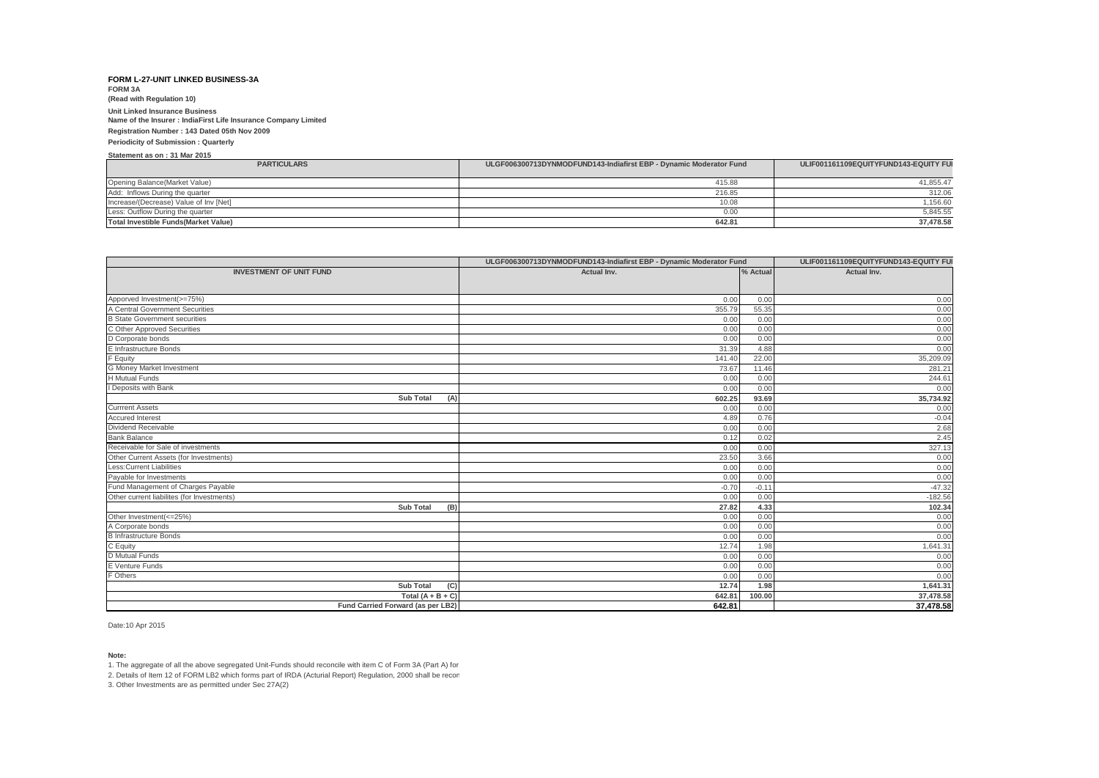**FORM 3A (Read with Regulation 10)**

# **Unit Linked Insurance Business**

**Name of the Insurer : IndiaFirst Life Insurance Company Limited**

## **Registration Number : 143 Dated 05th Nov 2009**

#### **Periodicity of Submission : Quarterly**

### **Statement as on : 31 Mar 2015**

| <b>PARTICULARS</b>                           | ULGF006300713DYNMODFUND143-Indiafirst EBP - Dynamic Moderator Fund | ULIF001161109EQUITYFUND143-EQUITY FUI |
|----------------------------------------------|--------------------------------------------------------------------|---------------------------------------|
|                                              |                                                                    |                                       |
| Opening Balance(Market Value)                | 415.88                                                             | 41,855.47                             |
| Add: Inflows During the quarter              | 216.85                                                             | 312.06                                |
| Increase/(Decrease) Value of Inv [Net]       | 10.08                                                              | 1.156.60                              |
| Less: Outflow During the quarter             | 0.0 <sup>0</sup>                                                   | 5,845.55                              |
| <b>Total Investible Funds (Market Value)</b> | 642.81                                                             | 37,478.58                             |

|                                            | ULGF006300713DYNMODFUND143-Indiafirst EBP - Dynamic Moderator Fund | ULIF001161109EQUITYFUND143-EQUITY FUI |             |
|--------------------------------------------|--------------------------------------------------------------------|---------------------------------------|-------------|
| <b>INVESTMENT OF UNIT FUND</b>             | Actual Inv.                                                        | % Actual                              | Actual Inv. |
|                                            |                                                                    |                                       |             |
| Apporved Investment(>=75%)                 | 0.00                                                               | 0.00                                  | 0.00        |
| A Central Government Securities            | 355.79                                                             | 55.35                                 | 0.00        |
| <b>B</b> State Government securities       | 0.00                                                               | 0.00                                  | 0.00        |
| C Other Approved Securities                | 0.00                                                               | 0.00                                  | 0.00        |
| D Corporate bonds                          | 0.00                                                               | 0.00                                  | 0.00        |
| E Infrastructure Bonds                     | 31.39                                                              | 4.88                                  | 0.00        |
| F Equity                                   | 141.40                                                             | 22.00                                 | 35,209.09   |
| <b>G Money Market Investment</b>           | 73.67                                                              | 11.46                                 | 281.21      |
| <b>H</b> Mutual Funds                      | 0.00                                                               | 0.00                                  | 244.61      |
| I Deposits with Bank                       | 0.00                                                               | 0.00                                  | 0.00        |
| <b>Sub Total</b><br>(A)                    | 602.25                                                             | 93.69                                 | 35,734.92   |
| <b>Currrent Assets</b>                     | 0.00                                                               | 0.00                                  | 0.00        |
| <b>Accured Interest</b>                    | 4.89                                                               | 0.76                                  | $-0.04$     |
| Dividend Receivable                        | 0.00                                                               | 0.00                                  | 2.68        |
| <b>Bank Balance</b>                        | 0.12                                                               | 0.02                                  | 2.45        |
| Receivable for Sale of investments         | 0.00                                                               | 0.00                                  | 327.13      |
| Other Current Assets (for Investments)     | 23.50                                                              | 3.66                                  | 0.00        |
| <b>Less:Current Liabilities</b>            | 0.00                                                               | 0.00                                  | 0.00        |
| Payable for Investments                    | 0.00                                                               | 0.00                                  | 0.00        |
| Fund Management of Charges Payable         | $-0.70$                                                            | $-0.11$                               | $-47.32$    |
| Other current liabilites (for Investments) | 0.00                                                               | 0.00                                  | $-182.56$   |
| <b>Sub Total</b><br>(B)                    | 27.82                                                              | 4.33                                  | 102.34      |
| Other Investment(<=25%)                    | 0.00                                                               | 0.00                                  | 0.00        |
| A Corporate bonds                          | 0.00                                                               | 0.00                                  | 0.00        |
| <b>B</b> Infrastructure Bonds              | 0.00                                                               | 0.00                                  | 0.00        |
| C Equity                                   | 12.74                                                              | 1.98                                  | 1,641.31    |
| D Mutual Funds                             | 0.00                                                               | 0.00                                  | 0.00        |
| E Venture Funds                            | 0.00                                                               | 0.00                                  | 0.00        |
| F Others                                   | 0.00                                                               | 0.00                                  | 0.00        |
| <b>Sub Total</b><br>(C)                    | 12.74                                                              | 1.98                                  | 1,641.31    |
| Total $(A + B + C)$                        | 642.81                                                             | 100.00                                | 37,478.58   |
| Fund Carried Forward (as per LB2)          | 642.81                                                             |                                       | 37,478.58   |

Date:10 Apr 2015

### **Note:**

1. The aggregate of all the above segregated Unit-Funds should reconcile with item C of Form 3A (Part A) for

2. Details of Item 12 of FORM LB2 which forms part of IRDA (Acturial Report) Regulation, 2000 shall be recon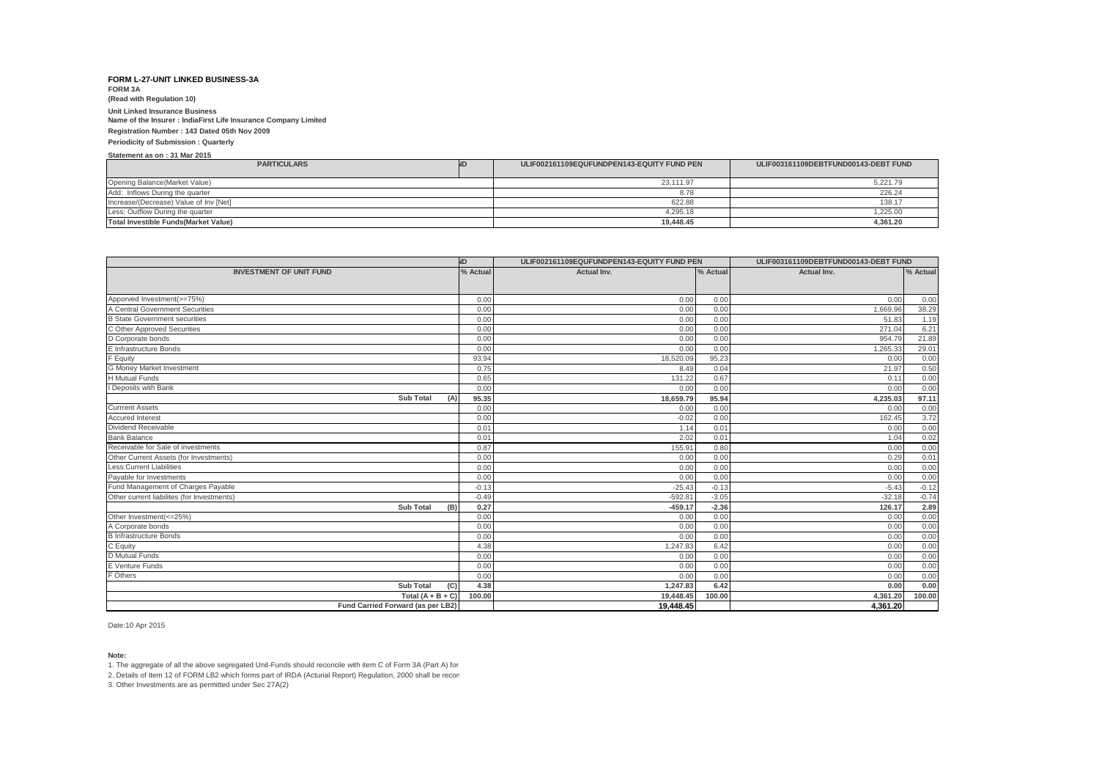**FORM 3A (Read with Regulation 10)**

## **Unit Linked Insurance Business**

**Name of the Insurer : IndiaFirst Life Insurance Company Limited**

#### **Registration Number : 143 Dated 05th Nov 2009**

**Periodicity of Submission : Quarterly**

#### **Statement as on : 31 Mar 2015**

| <b>PARTICULARS</b>                     | ULIF002161109EQUFUNDPEN143-EQUITY FUND PEN | ULIF003161109DEBTFUND00143-DEBT FUND |
|----------------------------------------|--------------------------------------------|--------------------------------------|
|                                        |                                            |                                      |
| Opening Balance (Market Value)         | 23,111.97                                  | 5,221.79                             |
| Add: Inflows During the quarter        | 8.78                                       | 226.24                               |
| Increase/(Decrease) Value of Inv [Net] | 622.88                                     | 138.17                               |
| Less: Outflow During the quarter       | 4.295.18                                   | .225.00                              |
| Total Investible Funds (Market Value)  | 19.448.45                                  | 4.361.20                             |

|                                                    | N <sub>D</sub> | ULIF002161109EQUFUNDPEN143-EQUITY FUND PEN |              | ULIF003161109DEBTFUND00143-DEBT FUND |                |
|----------------------------------------------------|----------------|--------------------------------------------|--------------|--------------------------------------|----------------|
| <b>INVESTMENT OF UNIT FUND</b>                     | % Actual       | <b>Actual Inv.</b>                         | % Actual     | Actual Inv.                          | % Actual       |
|                                                    |                |                                            |              |                                      |                |
| Apporved Investment(>=75%)                         | 0.00           | 0.00                                       | 0.00         | 0.00                                 |                |
| A Central Government Securities                    | 0.00           | 0.00                                       | 0.00         | 1,669.96                             | 0.00<br>38.29  |
| <b>B State Government securities</b>               | 0.00           | 0.00                                       | 0.00         | 51.83                                | 1.19           |
| C Other Approved Securities                        | 0.00           | 0.00                                       | 0.00         | 271.04                               | 6.21           |
| D Corporate bonds                                  | 0.00           |                                            |              | 954.79                               |                |
| E Infrastructure Bonds                             | 0.00           | 0.00<br>0.00                               | 0.00<br>0.00 | 1,265.33                             | 21.89<br>29.01 |
| F Equity                                           | 93.94          |                                            | 95.23        | 0.00                                 |                |
|                                                    | 0.75           | 18,520.09<br>8.49                          | 0.04         | 21.97                                | 0.00<br>0.50   |
| G Money Market Investment<br><b>H</b> Mutual Funds | 0.65           | 131.22                                     | 0.67         | 0.11                                 | 0.00           |
| <b>Deposits with Bank</b>                          |                |                                            | 0.00         | 0.00                                 |                |
| <b>Sub Total</b>                                   | 0.00<br>95.35  | 0.00<br>18,659.79                          | 95.94        | 4,235.03                             | 0.00<br>97.11  |
| (A)<br><b>Currrent Assets</b>                      | 0.00           | 0.00                                       | 0.00         | 0.00                                 |                |
| <b>Accured Interest</b>                            | 0.00           | $-0.02$                                    | 0.00         | 162.45                               | 0.00<br>3.72   |
| Dividend Receivable                                | 0.01           | 1.14                                       | 0.01         | 0.00                                 | 0.00           |
| <b>Bank Balance</b>                                | 0.01           | 2.02                                       | 0.01         | 1.04                                 | 0.02           |
| Receivable for Sale of investments                 | 0.87           | 155.91                                     | 0.80         | 0.00                                 | 0.00           |
| Other Current Assets (for Investments)             | 0.00           | 0.00                                       | 0.00         | 0.29                                 | 0.01           |
| Less: Current Liabilities                          | 0.00           | 0.00                                       | 0.00         | 0.00                                 | 0.00           |
| Payable for Investments                            | 0.00           | 0.00                                       | 0.00         | 0.00                                 | 0.00           |
| Fund Management of Charges Payable                 | $-0.13$        | $-25.43$                                   | $-0.13$      | $-5.43$                              | $-0.12$        |
| Other current liabilites (for Investments)         | $-0.49$        | $-592.8^{\circ}$                           | $-3.05$      | $-32.18$                             | $-0.74$        |
| <b>Sub Total</b><br>(B)                            | 0.27           | $-459.17$                                  | $-2.36$      | 126.17                               | 2.89           |
| Other Investment(<=25%)                            | 0.00           |                                            | 0.00         | 0.00                                 | 0.00           |
| A Corporate bonds                                  | 0.00           | 0.00<br>0.00                               | 0.00         | 0.00                                 | 0.00           |
| <b>B</b> Infrastructure Bonds                      | 0.00           | 0.00                                       | 0.00         | 0.00                                 | 0.00           |
| C Equity                                           | 4.38           | 1,247.83                                   | 6.42         | 0.00                                 | 0.00           |
| D Mutual Funds                                     | 0.00           | 0.00                                       | 0.00         | 0.00                                 | 0.00           |
| E Venture Funds                                    |                |                                            | 0.00         | 0.00                                 |                |
| F Others                                           | 0.00           | 0.00<br>0.00                               |              |                                      | 0.00           |
| <b>Sub Total</b>                                   | 0.00<br>4.38   | 1,247.83                                   | 0.00<br>6.42 | 0.00<br>0.00                         | 0.00<br>0.00   |
| (C)<br>Total $(A + B + C)$                         | 100.00         | 19,448.45                                  | 100.00       | 4.361.20                             | 100.00         |
|                                                    |                |                                            |              |                                      |                |
| Fund Carried Forward (as per LB2)                  |                | 19.448.45                                  |              | 4.361.20                             |                |

Date:10 Apr 2015

### **Note:**

1. The aggregate of all the above segregated Unit-Funds should reconcile with item C of Form 3A (Part A) for

2. Details of Item 12 of FORM LB2 which forms part of IRDA (Acturial Report) Regulation, 2000 shall be recon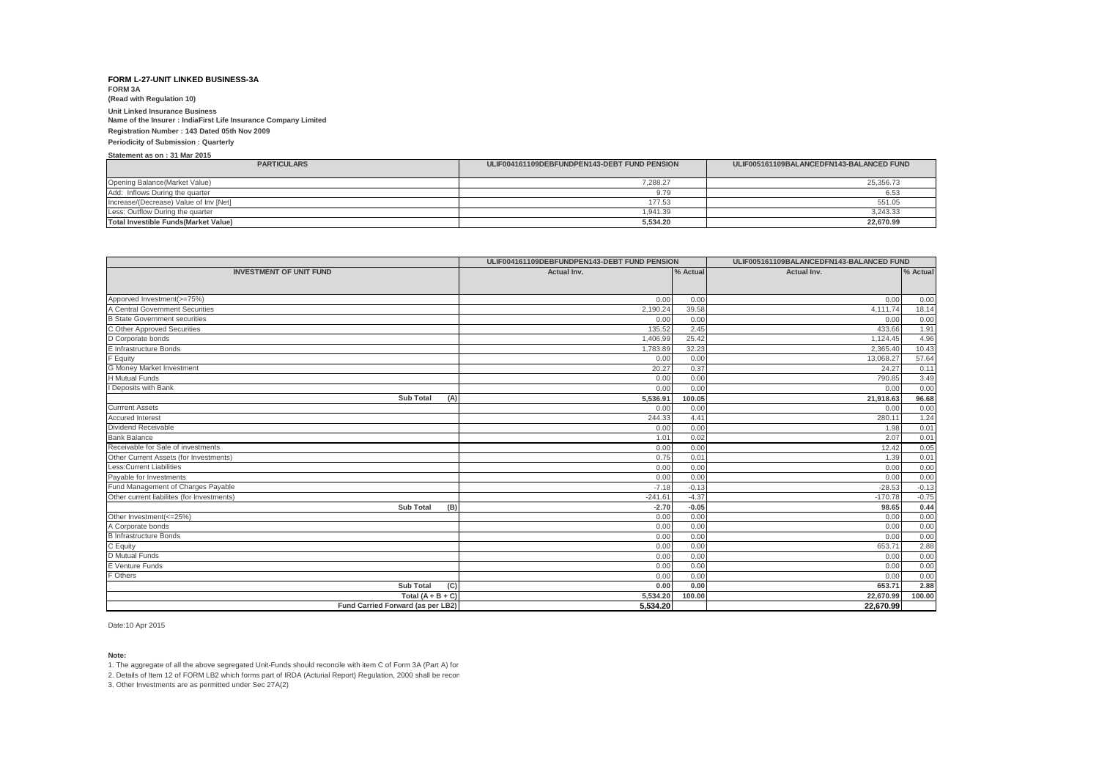**FORM 3A (Read with Regulation 10)**

## **Unit Linked Insurance Business**

**Name of the Insurer : IndiaFirst Life Insurance Company Limited**

### **Registration Number : 143 Dated 05th Nov 2009**

#### **Periodicity of Submission : Quarterly**

### **Statement as on : 31 Mar 2015**

| <b>PARTICULARS</b>                           | ULIF004161109DEBFUNDPEN143-DEBT FUND PENSION | ULIF005161109BALANCEDFN143-BALANCED FUND |
|----------------------------------------------|----------------------------------------------|------------------------------------------|
| Opening Balance (Market Value)               | 288.27                                       | 25.356.73                                |
| Add: Inflows During the quarter              | 9.79                                         | 6.53                                     |
| Increase/(Decrease) Value of Inv [Net]       | 177.53                                       | 551.05                                   |
| Less: Outflow During the quarter             | 1.941.39                                     | 3,243.33                                 |
| <b>Total Investible Funds (Market Value)</b> | 5.534.20                                     | 22.670.99                                |

|                                            | ULIF004161109DEBFUNDPEN143-DEBT FUND PENSION |          | ULIF005161109BALANCEDFN143-BALANCED FUND |          |
|--------------------------------------------|----------------------------------------------|----------|------------------------------------------|----------|
| <b>INVESTMENT OF UNIT FUND</b>             | <b>Actual Inv.</b>                           | % Actual | <b>Actual Inv.</b>                       | % Actual |
|                                            |                                              |          |                                          |          |
| Apporved Investment(>=75%)                 | 0.00                                         | 0.00     | 0.00                                     | 0.00     |
| A Central Government Securities            | 2,190.24                                     | 39.58    | 4,111.74                                 | 18.14    |
| <b>B State Government securities</b>       | 0.00                                         | 0.00     | 0.00                                     | 0.00     |
| C Other Approved Securities                | 135.52                                       | 2.45     | 433.66                                   | 1.91     |
| D Corporate bonds                          | 1,406.99                                     | 25.42    | 1,124.45                                 | 4.96     |
| E Infrastructure Bonds                     | 1,783.89                                     | 32.23    | 2,365.40                                 | 10.43    |
| F Equity                                   | 0.00                                         | 0.00     | 13,068.27                                | 57.64    |
| <b>G Money Market Investment</b>           | 20.27                                        | 0.37     | 24.27                                    | 0.11     |
| <b>H</b> Mutual Funds                      | 0.00                                         | 0.00     | 790.85                                   | 3.49     |
| I Deposits with Bank                       | 0.00                                         | 0.00     | 0.00                                     | 0.00     |
| <b>Sub Total</b><br>(A)                    | 5,536.91                                     | 100.05   | 21,918.63                                | 96.68    |
| <b>Currrent Assets</b>                     | 0.00                                         | 0.00     | 0.00                                     | 0.00     |
| <b>Accured Interest</b>                    | 244.33                                       | 4.41     | 280.11                                   | 1.24     |
| Dividend Receivable                        | 0.00                                         | 0.00     | 1.98                                     | 0.01     |
| <b>Bank Balance</b>                        | 1.01                                         | 0.02     | 2.07                                     | 0.01     |
| Receivable for Sale of investments         | 0.00                                         | 0.00     | 12.42                                    | 0.05     |
| Other Current Assets (for Investments)     | 0.75                                         | 0.01     | 1.39                                     | 0.01     |
| <b>Less:Current Liabilities</b>            | 0.00                                         | 0.00     | 0.00                                     | 0.00     |
| Payable for Investments                    | 0.00                                         | 0.00     | 0.00                                     | 0.00     |
| Fund Management of Charges Payable         | $-7.18$                                      | $-0.13$  | $-28.53$                                 | $-0.13$  |
| Other current liabilites (for Investments) | $-241.61$                                    | $-4.37$  | $-170.78$                                | $-0.75$  |
| Sub Total<br>(B)                           | $-2.70$                                      | $-0.05$  | 98.65                                    | 0.44     |
| Other Investment(<=25%)                    | 0.00                                         | 0.00     | 0.00                                     | 0.00     |
| A Corporate bonds                          | 0.00                                         | 0.00     | 0.00                                     | 0.00     |
| <b>B</b> Infrastructure Bonds              | 0.00                                         | 0.00     | 0.00                                     | 0.00     |
| C Equity                                   | 0.00                                         | 0.00     | 653.71                                   | 2.88     |
| D Mutual Funds                             | 0.00                                         | 0.00     | 0.00                                     | 0.00     |
| E Venture Funds                            | 0.00                                         | 0.00     | 0.00                                     | 0.00     |
| F Others                                   | 0.00                                         | 0.00     | 0.00                                     | 0.00     |
| Sub Total<br>(C)                           | 0.00                                         | 0.00     | 653.71                                   | 2.88     |
| Total $(A + B + C)$                        | 5.534.20                                     | 100.00   | 22.670.99                                | 100.00   |
| Fund Carried Forward (as per LB2)          | 5.534.20                                     |          | 22.670.99                                |          |

Date:10 Apr 2015

### **Note:**

1. The aggregate of all the above segregated Unit-Funds should reconcile with item C of Form 3A (Part A) for

2. Details of Item 12 of FORM LB2 which forms part of IRDA (Acturial Report) Regulation, 2000 shall be recon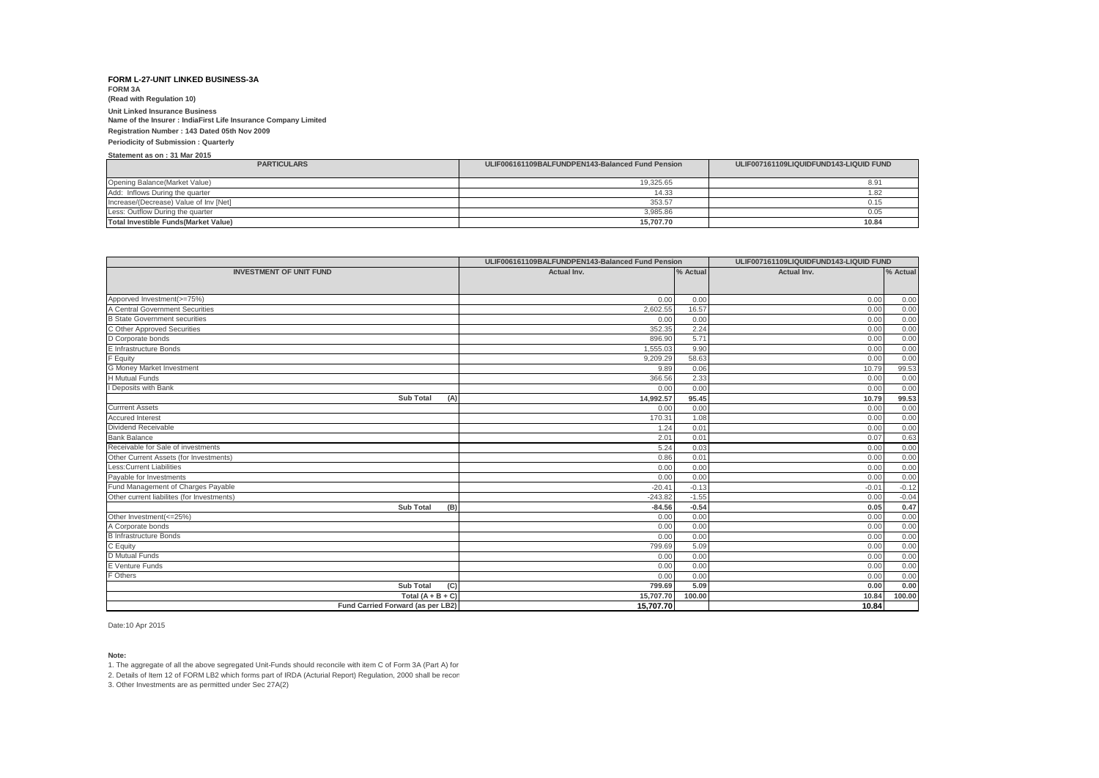**FORM 3A (Read with Regulation 10)**

## **Unit Linked Insurance Business**

**Name of the Insurer : IndiaFirst Life Insurance Company Limited**

#### **Registration Number : 143 Dated 05th Nov 2009**

#### **Periodicity of Submission : Quarterly**

**Statement as on : 31 Mar 2015**

| <b>PARTICULARS</b>                          | ULIF006161109BALFUNDPEN143-Balanced Fund Pension | ULIF007161109LIQUIDFUND143-LIQUID FUND |
|---------------------------------------------|--------------------------------------------------|----------------------------------------|
|                                             |                                                  |                                        |
| Opening Balance(Market Value)               | 19.325.65                                        | $8.9^*$                                |
| Add: Inflows During the quarter             | 14.33                                            |                                        |
| Increase/(Decrease) Value of Inv [Net]      | 353.57                                           | 0.15                                   |
| Less: Outflow During the quarter            | 3.985.86                                         | 0.05                                   |
| <b>Total Investible Funds(Market Value)</b> | 15.707.70                                        | 10.84                                  |

|                                            | ULIF006161109BALFUNDPEN143-Balanced Fund Pension |          |             | ULIF007161109LIQUIDFUND143-LIQUID FUND |  |
|--------------------------------------------|--------------------------------------------------|----------|-------------|----------------------------------------|--|
| <b>INVESTMENT OF UNIT FUND</b>             | <b>Actual Inv.</b>                               | % Actual | Actual Inv. | % Actual                               |  |
|                                            |                                                  |          |             |                                        |  |
| Apporved Investment(>=75%)                 | 0.00                                             | 0.00     | 0.00        | 0.00                                   |  |
| A Central Government Securities            | 2,602.55                                         | 16.57    | 0.00        | 0.00                                   |  |
| <b>B State Government securities</b>       | 0.00                                             | 0.00     | 0.00        | 0.00                                   |  |
| C Other Approved Securities                | 352.35                                           | 2.24     | 0.00        | 0.00                                   |  |
| D Corporate bonds                          | 896.90                                           | 5.71     | 0.00        | 0.00                                   |  |
| E Infrastructure Bonds                     | 1,555.03                                         | 9.90     | 0.00        | 0.00                                   |  |
| F Equity                                   | 9,209.29                                         | 58.63    | 0.00        | 0.00                                   |  |
| G Money Market Investment                  | 9.89                                             | 0.06     | 10.79       | 99.53                                  |  |
| <b>H</b> Mutual Funds                      | 366.56                                           | 2.33     | 0.00        | 0.00                                   |  |
| I Deposits with Bank                       | 0.00                                             | 0.00     | 0.00        | 0.00                                   |  |
| <b>Sub Total</b><br>(A)                    | 14,992.57                                        | 95.45    | 10.79       | 99.53                                  |  |
| <b>Currrent Assets</b>                     | 0.00                                             | 0.00     | 0.00        | 0.00                                   |  |
| <b>Accured Interest</b>                    | 170.31                                           | 1.08     | 0.00        | 0.00                                   |  |
| Dividend Receivable                        | 1.24                                             | 0.01     | 0.00        | 0.00                                   |  |
| <b>Bank Balance</b>                        | 2.01                                             | 0.01     | 0.07        | 0.63                                   |  |
| Receivable for Sale of investments         | 5.24                                             | 0.03     | 0.00        | 0.00                                   |  |
| Other Current Assets (for Investments)     | 0.86                                             | 0.01     | 0.00        | 0.00                                   |  |
| Less: Current Liabilities                  | 0.00                                             | 0.00     | 0.00        | 0.00                                   |  |
| Payable for Investments                    | 0.00                                             | 0.00     | 0.00        | 0.00                                   |  |
| Fund Management of Charges Payable         | $-20.41$                                         | $-0.13$  | $-0.01$     | $-0.12$                                |  |
| Other current liabilites (for Investments) | $-243.82$                                        | $-1.55$  | 0.00        | $-0.04$                                |  |
| <b>Sub Total</b><br>(B)                    | $-84.56$                                         | $-0.54$  | 0.05        | 0.47                                   |  |
| Other Investment(<=25%)                    | 0.00                                             | 0.00     | 0.00        | 0.00                                   |  |
| A Corporate bonds                          | 0.00                                             | 0.00     | 0.00        | 0.00                                   |  |
| <b>B</b> Infrastructure Bonds              | 0.00                                             | 0.00     | 0.00        | 0.00                                   |  |
| C Equity                                   | 799.69                                           | 5.09     | 0.00        | 0.00                                   |  |
| D Mutual Funds                             | 0.00                                             | 0.00     | 0.00        | 0.00                                   |  |
| E Venture Funds                            | 0.00                                             | 0.00     | 0.00        | 0.00                                   |  |
| F Others                                   | 0.00                                             | 0.00     | 0.00        | 0.00                                   |  |
| <b>Sub Total</b><br>(C)                    | 799.69                                           | 5.09     | 0.00        | 0.00                                   |  |
| Total $(A + B + C)$                        | 15,707.70                                        | 100.00   | 10.84       | 100.00                                 |  |
| Fund Carried Forward (as per LB2)          | 15.707.70                                        |          | 10.84       |                                        |  |

Date:10 Apr 2015

### **Note:**

1. The aggregate of all the above segregated Unit-Funds should reconcile with item C of Form 3A (Part A) for

2. Details of Item 12 of FORM LB2 which forms part of IRDA (Acturial Report) Regulation, 2000 shall be recon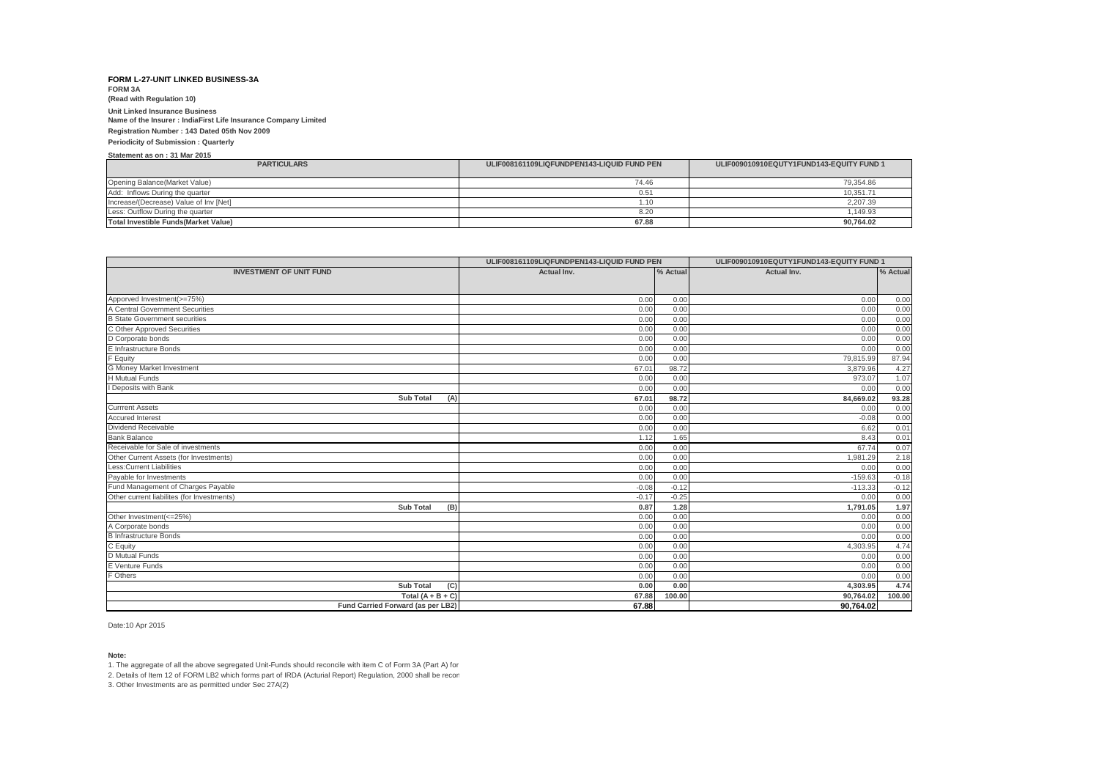**FORM 3A (Read with Regulation 10)**

## **Unit Linked Insurance Business**

**Name of the Insurer : IndiaFirst Life Insurance Company Limited**

**Registration Number : 143 Dated 05th Nov 2009**

#### **Periodicity of Submission : Quarterly**

**Statement as on : 31 Mar 2015**

| <b>PARTICULARS</b>                     | ULIF008161109LIQFUNDPEN143-LIQUID FUND PEN | ULIF009010910EQUTY1FUND143-EQUITY FUND 1 |
|----------------------------------------|--------------------------------------------|------------------------------------------|
| Opening Balance (Market Value)         | 74.46                                      | 79,354.86                                |
| Add: Inflows During the quarter        | 0.51                                       | 10.351.71                                |
| Increase/(Decrease) Value of Inv [Net] | 1.10                                       | 2,207.39                                 |
| Less: Outflow During the quarter       | 8.20                                       | 1.149.93                                 |
| Total Investible Funds (Market Value)  | 67.88                                      | 90.764.02                                |

|                                            | ULIF008161109LIQFUNDPEN143-LIQUID FUND PEN |          | ULIF009010910EQUTY1FUND143-EQUITY FUND 1 |              |
|--------------------------------------------|--------------------------------------------|----------|------------------------------------------|--------------|
| <b>INVESTMENT OF UNIT FUND</b>             | Actual Inv.                                | % Actual | Actual Inv.                              | % Actual     |
|                                            |                                            |          |                                          |              |
| Apporved Investment(>=75%)                 | 0.00                                       | 0.00     |                                          |              |
| A Central Government Securities            | 0.00                                       | 0.00     | 0.00<br>0.00                             | 0.00<br>0.00 |
| <b>B</b> State Government securities       | 0.00                                       | 0.00     | 0.00                                     | 0.00         |
| C Other Approved Securities                | 0.00                                       | 0.00     | 0.00                                     | 0.00         |
| D Corporate bonds                          | 0.00                                       | 0.00     | 0.00                                     |              |
| E Infrastructure Bonds                     | 0.00                                       | 0.00     | 0.00                                     | 0.00<br>0.00 |
| F Equity                                   | 0.00                                       | 0.00     | 79,815.99                                | 87.94        |
| G Money Market Investment                  | 67.01                                      | 98.72    | 3.879.96                                 | 4.27         |
| <b>H</b> Mutual Funds                      | 0.00                                       | 0.00     | 973.07                                   | 1.07         |
| I Deposits with Bank                       | 0.00                                       | 0.00     | 0.00                                     | 0.00         |
| <b>Sub Total</b>                           | 67.01                                      | 98.72    | 84,669.02                                | 93.28        |
| (A)<br><b>Currrent Assets</b>              | 0.00                                       | 0.00     | 0.00                                     | 0.00         |
| <b>Accured Interest</b>                    | 0.00                                       | 0.00     | $-0.08$                                  | 0.00         |
| Dividend Receivable                        | 0.00                                       | 0.00     | 6.62                                     | 0.01         |
| <b>Bank Balance</b>                        | 1.12                                       | 1.65     | 8.43                                     | 0.01         |
| Receivable for Sale of investments         | 0.00                                       | 0.00     | 67.74                                    | 0.07         |
| Other Current Assets (for Investments)     | 0.00                                       | 0.00     | 1.981.29                                 | 2.18         |
| Less: Current Liabilities                  | 0.00                                       | 0.00     | 0.00                                     | 0.00         |
| Payable for Investments                    | 0.00                                       | 0.00     | $-159.63$                                | $-0.18$      |
| Fund Management of Charges Payable         | $-0.08$                                    | $-0.12$  | $-113.33$                                | $-0.12$      |
| Other current liabilites (for Investments) | $-0.17$                                    | $-0.25$  | 0.00                                     | 0.00         |
| (B)<br><b>Sub Total</b>                    | 0.87                                       | 1.28     | 1,791.05                                 | 1.97         |
| Other Investment(<=25%)                    | 0.00                                       | 0.00     | 0.00                                     | 0.00         |
| A Corporate bonds                          | 0.00                                       | 0.00     | 0.00                                     | 0.00         |
| <b>B</b> Infrastructure Bonds              | 0.00                                       | 0.00     | 0.00                                     | 0.00         |
| C Equity                                   | 0.00                                       | 0.00     | 4,303.95                                 | 4.74         |
| D Mutual Funds                             | 0.00                                       | 0.00     | 0.00                                     | 0.00         |
| E Venture Funds                            | 0.00                                       | 0.00     | 0.00                                     | 0.00         |
| F Others                                   | 0.00                                       | 0.00     | 0.00                                     | 0.00         |
| <b>Sub Total</b><br>(C)                    | 0.00                                       | 0.00     | 4.303.95                                 | 4.74         |
| Total $(A + B + C)$                        | 67.88                                      | 100.00   | 90.764.02                                | 100.00       |
| Fund Carried Forward (as per LB2)          | 67.88                                      |          | 90,764.02                                |              |

Date:10 Apr 2015

### **Note:**

1. The aggregate of all the above segregated Unit-Funds should reconcile with item C of Form 3A (Part A) for

2. Details of Item 12 of FORM LB2 which forms part of IRDA (Acturial Report) Regulation, 2000 shall be recon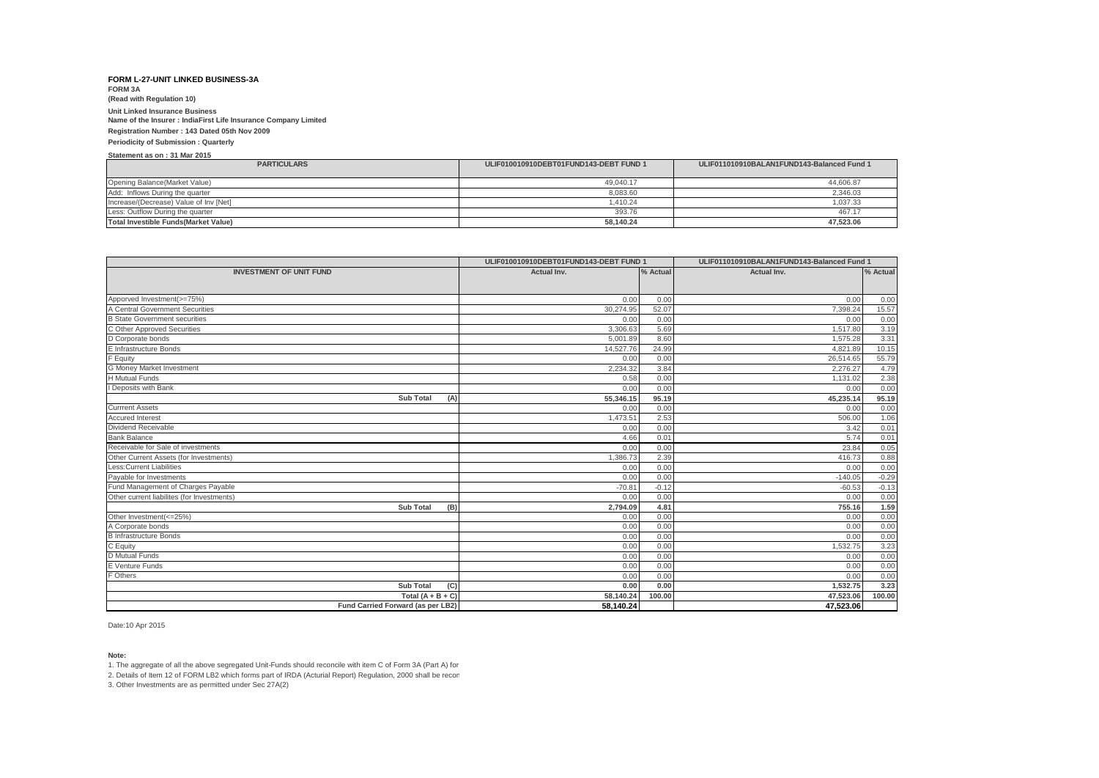**FORM 3A (Read with Regulation 10)**

## **Unit Linked Insurance Business**

**Name of the Insurer : IndiaFirst Life Insurance Company Limited**

**Registration Number : 143 Dated 05th Nov 2009**

#### **Periodicity of Submission : Quarterly**

**Statement as on : 31 Mar 2015**

| <b>PARTICULARS</b>                     | ULIF010010910DEBT01FUND143-DEBT FUND 1 | ULIF011010910BALAN1FUND143-Balanced Fund 1 |
|----------------------------------------|----------------------------------------|--------------------------------------------|
| Opening Balance(Market Value)          | 49.040.17                              | 44.606.87                                  |
| Add: Inflows During the quarter        | 8.083.60                               | 2.346.03                                   |
| Increase/(Decrease) Value of Inv [Net] | 1.410.24                               | 1.037.33                                   |
| Less: Outflow During the quarter       | 393.76                                 | 467.17                                     |
| Total Investible Funds(Market Value)   | 58.140.24                              | 47.523.06                                  |

|                                            | ULIF010010910DEBT01FUND143-DEBT FUND 1 |          | ULIF011010910BALAN1FUND143-Balanced Fund 1 |         |  |
|--------------------------------------------|----------------------------------------|----------|--------------------------------------------|---------|--|
| <b>INVESTMENT OF UNIT FUND</b>             | Actual Inv.                            | % Actual | Actual Inv.                                |         |  |
|                                            |                                        |          |                                            |         |  |
| Apporved Investment(>=75%)                 | 0.00                                   | 0.00     | 0.00                                       | 0.00    |  |
| A Central Government Securities            | 30.274.95                              | 52.07    | 7.398.24                                   | 15.57   |  |
| <b>B</b> State Government securities       | 0.00                                   | 0.00     | 0.00                                       | 0.00    |  |
| C Other Approved Securities                | 3.306.63                               | 5.69     | 1.517.80                                   | 3.19    |  |
| D Corporate bonds                          | 5,001.89                               | 8.60     | 1,575.28                                   | 3.31    |  |
| E Infrastructure Bonds                     | 14,527.76                              | 24.99    | 4,821.89                                   | 10.15   |  |
| F Equity                                   | 0.00                                   | 0.00     | 26,514.65                                  | 55.79   |  |
| G Money Market Investment                  | 2,234.32                               | 3.84     | 2,276.27                                   | 4.79    |  |
| <b>H</b> Mutual Funds                      | 0.58                                   | 0.00     | 1.131.02                                   | 2.38    |  |
| I Deposits with Bank                       | 0.00                                   | 0.00     | 0.00                                       | 0.00    |  |
| <b>Sub Total</b><br>(A)                    | 55,346.15                              | 95.19    | 45,235.14                                  | 95.19   |  |
| <b>Currrent Assets</b>                     | 0.00                                   | 0.00     | 0.00                                       | 0.00    |  |
| <b>Accured Interest</b>                    | 1,473.51                               | 2.53     | 506.00                                     | 1.06    |  |
| Dividend Receivable                        | 0.00                                   | 0.00     | 3.42                                       | 0.01    |  |
| <b>Bank Balance</b>                        | 4.66                                   | 0.01     | 5.74                                       | 0.01    |  |
| Receivable for Sale of investments         | 0.00                                   | 0.00     | 23.84                                      | 0.05    |  |
| Other Current Assets (for Investments)     | 1,386.73                               | 2.39     | 416.73                                     | 0.88    |  |
| Less: Current Liabilities                  | 0.00                                   | 0.00     | 0.00                                       | 0.00    |  |
| Payable for Investments                    | 0.00                                   | 0.00     | $-140.05$                                  | $-0.29$ |  |
| Fund Management of Charges Payable         | $-70.81$                               | $-0.12$  | $-60.53$                                   | $-0.13$ |  |
| Other current liabilites (for Investments) | 0.00                                   | 0.00     | 0.00                                       | 0.00    |  |
| <b>Sub Total</b><br>(B)                    | 2,794.09                               | 4.81     | 755.16                                     | 1.59    |  |
| Other Investment(<=25%)                    | 0.00                                   | 0.00     | 0.00                                       | 0.00    |  |
| A Corporate bonds                          | 0.00                                   | 0.00     | 0.00                                       | 0.00    |  |
| <b>B</b> Infrastructure Bonds              | 0.00                                   | 0.00     | 0.00                                       | 0.00    |  |
| C Equity                                   | 0.00                                   | 0.00     | 1,532.75                                   | 3.23    |  |
| D Mutual Funds                             | 0.00                                   | 0.00     | 0.00                                       | 0.00    |  |
| E Venture Funds                            | 0.00                                   | 0.00     | 0.00                                       | 0.00    |  |
| F Others                                   | 0.00                                   | 0.00     | 0.00                                       | 0.00    |  |
| <b>Sub Total</b><br>(C)                    | 0.00                                   | 0.00     | 1,532.75                                   | 3.23    |  |
| Total $(A + B + C)$                        | 58.140.24                              | 100.00   | 47,523.06                                  | 100.00  |  |
| Fund Carried Forward (as per LB2)          | 58,140.24                              |          | 47,523.06                                  |         |  |

Date:10 Apr 2015

**Note:**

1. The aggregate of all the above segregated Unit-Funds should reconcile with item C of Form 3A (Part A) for

2. Details of Item 12 of FORM LB2 which forms part of IRDA (Acturial Report) Regulation, 2000 shall be recon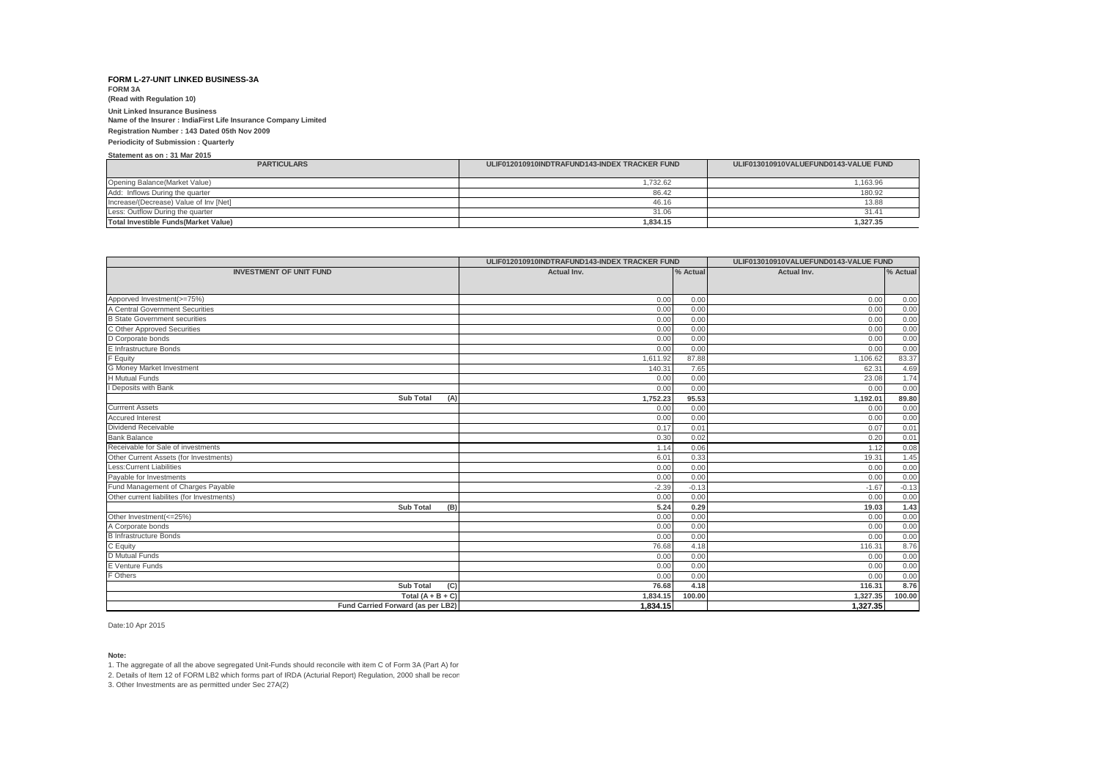**FORM 3A (Read with Regulation 10)**

## **Unit Linked Insurance Business**

**Name of the Insurer : IndiaFirst Life Insurance Company Limited**

#### **Registration Number : 143 Dated 05th Nov 2009**

#### **Periodicity of Submission : Quarterly**

**Statement as on : 31 Mar 2015**

| <b>PARTICULARS</b>                           | ULIF012010910INDTRAFUND143-INDEX TRACKER FUND | ULIF013010910VALUEFUND0143-VALUE FUND |
|----------------------------------------------|-----------------------------------------------|---------------------------------------|
| Opening Balance (Market Value)               | .732.62                                       | 1,163.96                              |
| Add: Inflows During the quarter              | 86.42                                         | 180.92                                |
| Increase/(Decrease) Value of Inv [Net]       | 46.16                                         | 13.88                                 |
| Less: Outflow During the quarter             | 31.06                                         | 31.41                                 |
| <b>Total Investible Funds (Market Value)</b> | 1.834.15                                      | 1,327.35                              |

|                                                               | ULIF012010910INDTRAFUND143-INDEX TRACKER FUND |          | ULIF013010910VALUEFUND0143-VALUE FUND |          |
|---------------------------------------------------------------|-----------------------------------------------|----------|---------------------------------------|----------|
| <b>INVESTMENT OF UNIT FUND</b>                                | Actual Inv.                                   | % Actual | Actual Inv.                           | % Actual |
|                                                               |                                               |          |                                       |          |
|                                                               |                                               |          |                                       |          |
| Apporved Investment(>=75%)<br>A Central Government Securities | 0.00                                          | 0.00     | 0.00                                  | 0.00     |
|                                                               | 0.00                                          | 0.00     | 0.00                                  | 0.00     |
| <b>B State Government securities</b>                          | 0.00                                          | 0.00     | 0.00                                  | 0.00     |
| C Other Approved Securities                                   | 0.00                                          | 0.00     | 0.00                                  | 0.00     |
| D Corporate bonds<br>E Infrastructure Bonds                   | 0.00                                          | 0.00     | 0.00                                  | 0.00     |
|                                                               | 0.00                                          | 0.00     | 0.00                                  | 0.00     |
| F Equity                                                      | 1,611.92                                      | 87.88    | 1,106.62                              | 83.37    |
| G Money Market Investment                                     | 140.31                                        | 7.65     | 62.31                                 | 4.69     |
| <b>H</b> Mutual Funds                                         | 0.00                                          | 0.00     | 23.08                                 | 1.74     |
| I Deposits with Bank                                          | 0.00                                          | 0.00     | 0.00                                  | 0.00     |
| <b>Sub Total</b><br>(A)                                       | 1.752.23                                      | 95.53    | 1,192.01                              | 89.80    |
| <b>Currrent Assets</b>                                        | 0.00                                          | 0.00     | 0.00                                  | 0.00     |
| <b>Accured Interest</b>                                       | 0.00                                          | 0.00     | 0.00                                  | 0.00     |
| Dividend Receivable                                           | 0.17                                          | 0.01     | 0.07                                  | 0.01     |
| <b>Bank Balance</b>                                           | 0.30                                          | 0.02     | 0.20                                  | 0.01     |
| Receivable for Sale of investments                            | 1.14                                          | 0.06     | 1.12                                  | 0.08     |
| Other Current Assets (for Investments)                        | 6.01                                          | 0.33     | 19.31                                 | 1.45     |
| <b>Less:Current Liabilities</b>                               | 0.00                                          | 0.00     | 0.00                                  | 0.00     |
| Payable for Investments                                       | 0.00                                          | 0.00     | 0.00                                  | 0.00     |
| Fund Management of Charges Payable                            | $-2.39$                                       | $-0.13$  | $-1.67$                               | $-0.13$  |
| Other current liabilites (for Investments)                    | 0.00                                          | 0.00     | 0.00                                  | 0.00     |
| <b>Sub Total</b><br>(B)                                       | 5.24                                          | 0.29     | 19.03                                 | 1.43     |
| Other Investment(<=25%)                                       | 0.00                                          | 0.00     | 0.00                                  | 0.00     |
| A Corporate bonds                                             | 0.00                                          | 0.00     | 0.00                                  | 0.00     |
| <b>B</b> Infrastructure Bonds                                 | 0.00                                          | 0.00     | 0.00                                  | 0.00     |
| C Equity                                                      | 76.68                                         | 4.18     | 116.31                                | 8.76     |
| <b>D</b> Mutual Funds                                         | 0.00                                          | 0.00     | 0.00                                  | 0.00     |
| E Venture Funds                                               | 0.00                                          | 0.00     | 0.00                                  | 0.00     |
| F Others                                                      | 0.00                                          | 0.00     | 0.00                                  | 0.00     |
| <b>Sub Total</b><br>(C)                                       | 76.68                                         | 4.18     | 116.31                                | 8.76     |
| Total $(A + B + C)$                                           | 1.834.15                                      | 100.00   | 1.327.35                              | 100.00   |
| Fund Carried Forward (as per LB2)                             | 1.834.15                                      |          | 1.327.35                              |          |

Date:10 Apr 2015

### **Note:**

1. The aggregate of all the above segregated Unit-Funds should reconcile with item C of Form 3A (Part A) for

2. Details of Item 12 of FORM LB2 which forms part of IRDA (Acturial Report) Regulation, 2000 shall be recon